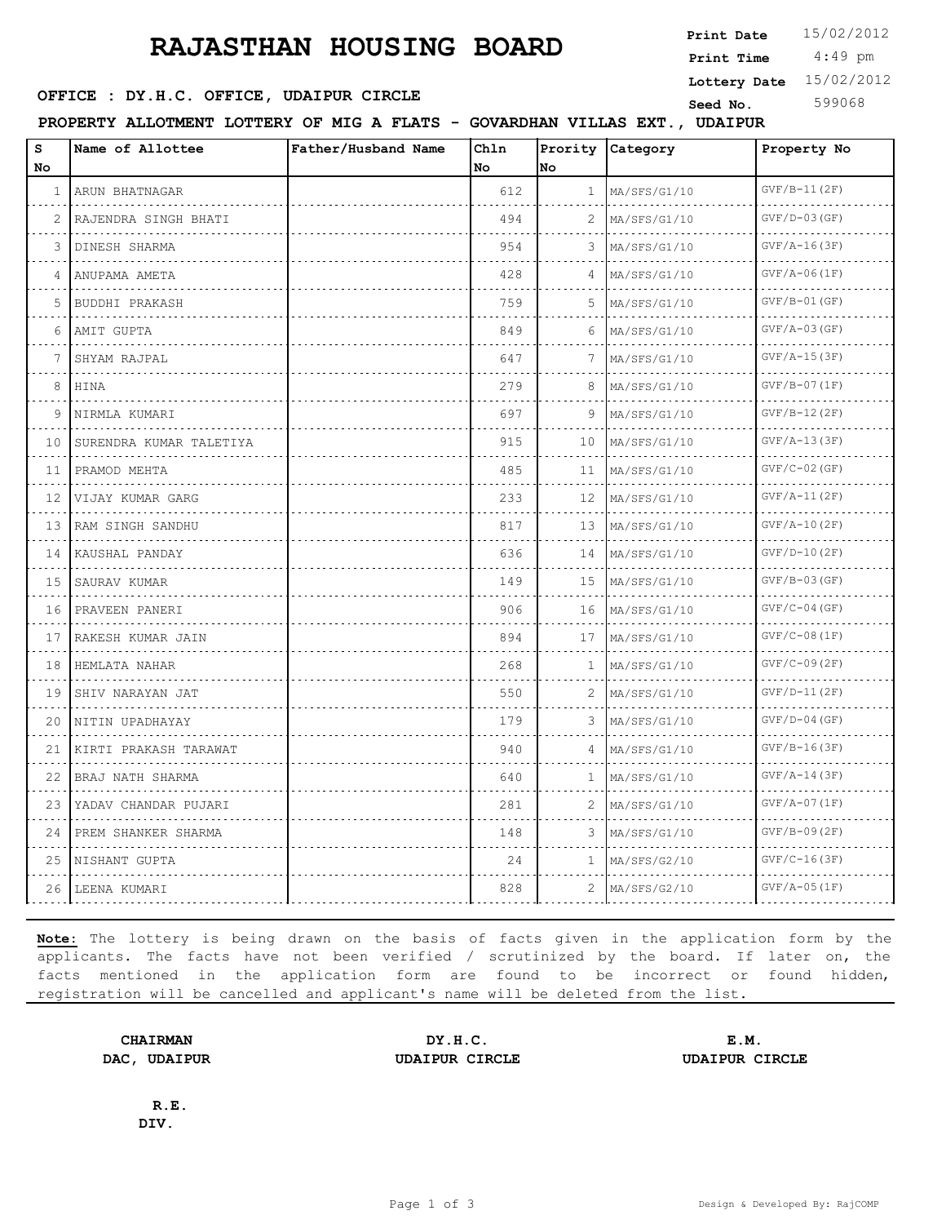## **RAJASTHAN HOUSING BOARD**

**SEED : DY.H.C. OFFICE, UDAIPUR CIRCLE CONSUMING Seed No.** 599068

 4:49 pm **Print Date**  $15/02/2012$ **Print Time Lottery Date** 15/02/2012

**PROPERTY ALLOTMENT LOTTERY OF MIG A FLATS - GOVARDHAN VILLAS EXT., UDAIPUR**

| s<br>No                         | Name of Allottee           | Father/Husband Name | Chln<br>No | lno.         | Prority Category  | Property No                          |
|---------------------------------|----------------------------|---------------------|------------|--------------|-------------------|--------------------------------------|
| $\mathbf{1}$                    | ARUN BHATNAGAR<br>.        |                     | 612        | $\mathbf{1}$ | MA/SFS/G1/10      | $GVF/B-11(2F)$<br>.                  |
| $\sim$ $\sim$<br>$\overline{2}$ | RAJENDRA SINGH BHATI       |                     | 494        | 2            | MA/SFS/G1/10      | $GVF/D-03(GF)$                       |
| 3                               | DINESH SHARMA              |                     | 954        | 3            | MA/SFS/G1/10      | $GVF/A-16(3F)$                       |
| 4                               | ANUPAMA AMETA              |                     | 428        | 4            | MA/SFS/G1/10<br>. | $GVF/A-06(IF)$<br>.                  |
| 5                               | .<br>BUDDHI PRAKASH        |                     | 759        | 5            | MA/SFS/G1/10      | $GVF/B-01(GF)$                       |
| 6                               | AMIT GUPTA                 |                     | 849        | 6            | MA/SFS/G1/10      | $GVF/A-03(GF)$                       |
| 7                               | SHYAM RAJPAL               |                     | 647        | 7            | MA/SFS/G1/10      | $GVF/A-15(3F)$                       |
| i a<br>8                        | HINA                       |                     | 279        | 8            | .<br>MA/SFS/G1/10 | <u>.</u><br>$GVF/B-07(1F)$           |
| 9                               | NIRMLA KUMARI              |                     | 697        | 9            | MA/SFS/G1/10      | $GVF/B-12(2F)$                       |
| 10                              | SURENDRA KUMAR TALETIYA    |                     | 915        | 10           | MA/SFS/G1/10      | $GVF/A-13(3F)$                       |
| 11                              | PRAMOD MEHTA               |                     | 485        | 11           | MA/SFS/G1/10      | <u>.</u><br>$GVF/C-02$ (GF)          |
| 12                              | .<br>VIJAY KUMAR GARG      |                     | 233        | 12           | MA/SFS/G1/10      | $GVF/A-11(2F)$                       |
| 13                              | IRAM SINGH SANDHU          |                     | 817        | 13           | MA/SFS/G1/10      | $GVF/A-10(2F)$                       |
| 14                              | .<br>KAUSHAL PANDAY        |                     | 636        | 14           | .<br>MA/SFS/G1/10 | a concern and the<br>$GVF/D-10 (2F)$ |
| 15                              | .<br>SAURAV KUMAR          |                     | 149        | 15           | MA/SFS/G1/10      | $GVF/B-03(GF)$                       |
| 16                              | PRAVEEN PANERI             |                     | 906        | 16           | MA/SFS/G1/10      | $GVF / C - 04 (GF)$                  |
| $\sim$ $\sim$ $\sim$<br>17      | .<br>RAKESH KUMAR JAIN     |                     | 894        | 17           | MA/SFS/G1/10      | .<br>$GVF/C-08(1F)$                  |
| 18                              | .<br>HEMLATA NAHAR         |                     | 268        | $\mathbf{1}$ | MA/SFS/G1/10      | $GVF / C - 09 (2F)$                  |
| 19                              | SHIV NARAYAN JAT           |                     | 550        | 2            | MA/SFS/G1/10      | $GVF/D-11(2F)$                       |
| 20                              | .<br>NITIN UPADHAYAY       |                     | 179        | 3            | MA/SFS/G1/10      | $GVF/D-04$ (GF)                      |
| 21                              | .<br>KIRTI PRAKASH TARAWAT |                     | 940        | 4            | $M_A/SFS/G1/10$   | $GVF/B-16(3F)$                       |
| 22                              | .<br>BRAJ NATH SHARMA      |                     | 640        | 1            | MA/SFS/G1/10      | $GVF/A-14(3F)$                       |
| 23                              | YADAV CHANDAR PUJARI       |                     | 281        | 2            | MA/SFS/G1/10      | $GVF/A-07(IF)$                       |
| 24                              | PREM SHANKER SHARMA        |                     | 148        | 3            | MA/SFS/G1/10      | $GVF/B-09(2F)$                       |
| 25                              | NISHANT GUPTA              |                     | 24         | 1            | MA/SFS/G2/10      | $GVF/C-16(3F)$                       |
|                                 | 26 LEENA KUMARI            |                     | 828        | 2            | MA/SFS/G2/10      | $GVF/A-05(IF)$                       |

**Note:** The lottery is being drawn on the basis of facts given in the application form by the applicants. The facts have not been verified / scrutinized by the board. If later on, the facts mentioned in the application form are found to be incorrect or found hidden, registration will be cancelled and applicant's name will be deleted from the list.

**CHAIRMAN DY.H.C. E.M. DAC, UDAIPUR UDAIPUR CIRCLE UDAIPUR CIRCLE**

**R.E. DIV.**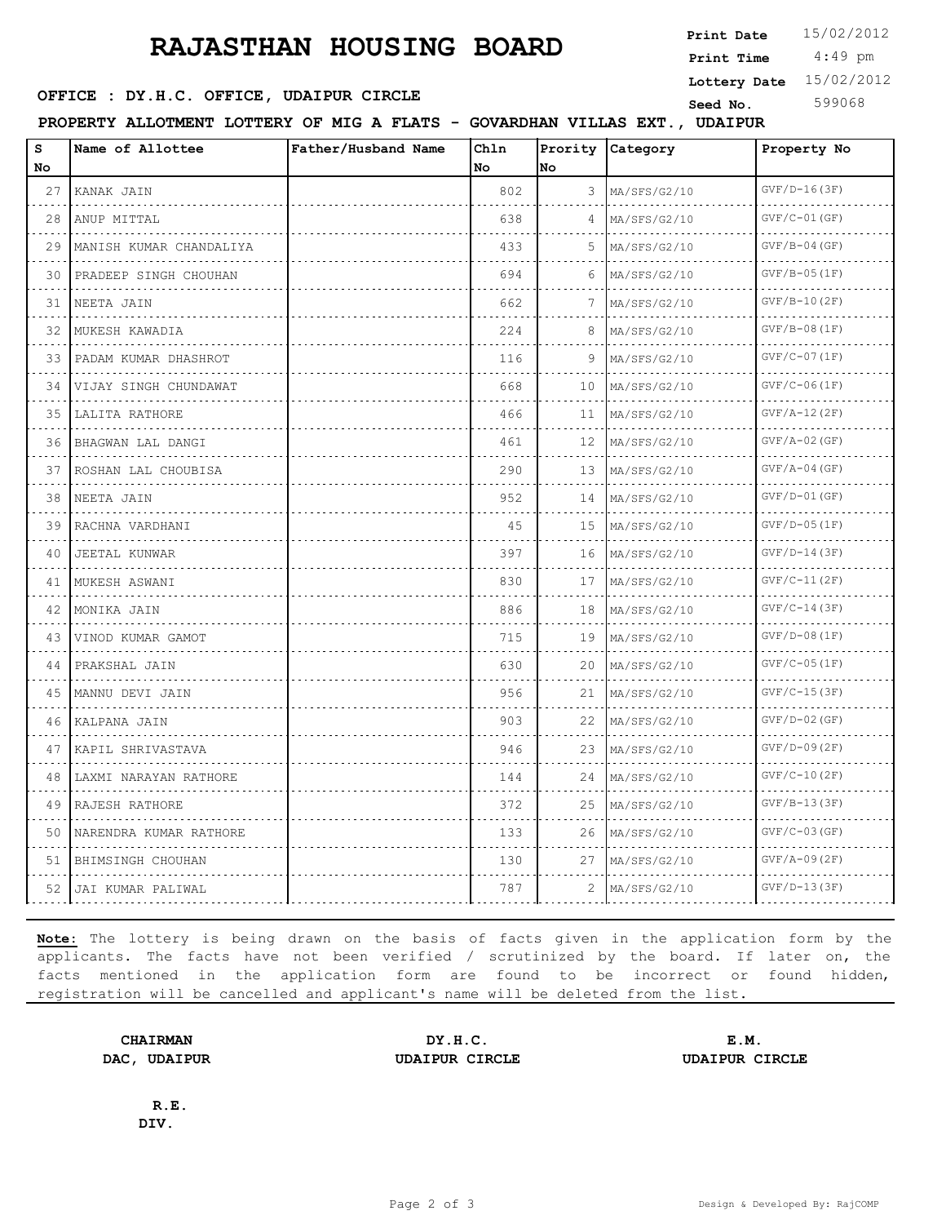## **RAJASTHAN HOUSING BOARD**

**SEED : DY.H.C. OFFICE, UDAIPUR CIRCLE CONSUMING Seed No.** 599068

 $\blacksquare$ 

**PROPERTY ALLOTMENT LOTTERY OF MIG A FLATS - GOVARDHAN VILLAS EXT., UDAIPUR**

| s<br>No             | Name of Allottee          | Father/Husband Name | Chln<br>No. | No | Prority Category  | Property No                |
|---------------------|---------------------------|---------------------|-------------|----|-------------------|----------------------------|
| 27                  | KANAK JAIN<br>.           |                     | 802         | 3  | MA/SFS/G2/10      | $GVF/D-16(3F)$             |
| 28                  | ANUP MITTAL               |                     | 638         | 4  | MA/SFS/G2/10      | $GVF/C-01(GF)$<br><u>.</u> |
| 29                  | MANISH KUMAR CHANDALIYA   |                     | 433         | 5  | MA/SFS/G2/10      | $GVF/B-04(GF)$             |
| 30                  | PRADEEP SINGH CHOUHAN     |                     | 694         | 6  | MA/SFS/G2/10<br>. | $GVF/B-05(IF)$             |
| 31                  | NEETA JAIN<br>.           |                     | 662         | 7  | MA/SFS/G2/10      | $GVF/B-10(2F)$             |
| 32                  | MUKESH KAWADIA            |                     | 224         | 8  | $M_A/SFS/G2/10$   | $GVF/B-08(1F)$             |
|                     | 33 PADAM KUMAR DHASHROT   |                     | 116         | 9  | MA/SFS/G2/10      | $GVF / C - 07 (1F)$        |
| 34                  | VIJAY SINGH CHUNDAWAT     |                     | 668         | 10 | MA/SFS/G2/10      | $GVF / C - 06 (1F)$        |
| 35                  | LALITA RATHORE<br>.       |                     | 466         | 11 | MA/SFS/G2/10      | $GVF/A-12(ZF)$             |
| 36                  | BHAGWAN LAL DANGI         |                     | 461         | 12 | MA/SFS/G2/10      | $GVF/A-02$ (GF)            |
| 37                  | ROSHAN LAL CHOUBISA       |                     | 290         | 13 | MA/SFS/G2/10      | $GVF/A-04(GF)$             |
| 38                  | NEETA JAIN<br>.           |                     | 952         | 14 | $M_A/SFS/G2/10$   | $GVF/D-01(GF)$             |
| 39                  | RACHNA VARDHANI<br>.      |                     | 45          | 15 | MA/SFS/G2/10      | $GVF/D-05(1F)$             |
| 40                  | JEETAL KUNWAR<br><u>.</u> |                     | 397         | 16 | MA/SFS/G2/10      | $GVF/D-14(3F)$             |
| 41                  | MUKESH ASWANI<br>.        |                     | 830         | 17 | MA/SFS/G2/10      | $GVF/C-11(2F)$             |
| 42                  | MONIKA JAIN               |                     | 886         | 18 | MA/SFS/G2/10      | $GVF / C - 14 (3F)$        |
| 43                  | VINOD KUMAR GAMOT         |                     | 715         | 19 | MA/SFS/G2/10<br>. | $GVF/D-08(1F)$<br>.        |
|                     | 44   PRAKSHAL JAIN        |                     | 630         | 20 | MA/SFS/G2/10      | $GVF / C - 05 (1F)$        |
| 45                  | MANNU DEVI JAIN           |                     | 956         | 21 | MA/SFS/G2/10      | $GVF/C-15(3F)$             |
| 46                  | KALPANA JAIN<br>.         |                     | 903         | 22 | MA/SFS/G2/10<br>. | $GVF/D-02$ (GF)<br>.       |
| 47                  | KAPIL SHRIVASTAVA         |                     | 946         | 23 | MA/SFS/G2/10      | $GVF/D-09(2F)$             |
| 48                  | LAXMI NARAYAN RATHORE     |                     | 144         | 24 | MA/SFS/G2/10      | $GVF / C - 10 (2F)$        |
| 49<br>$\sim$ $\sim$ | RAJESH RATHORE<br>.       |                     | 372         | 25 | MA/SFS/G2/10      | $GVF/B-13(3F)$             |
| 50                  | NARENDRA KUMAR RATHORE    |                     | 133         | 26 | MA/SFS/G2/10      | $GVF/C-03(GF)$             |
| 51                  | BHIMSINGH CHOUHAN         |                     | 130         | 27 | MA/SFS/G2/10      | $GVF/A-09(ZF)$             |
|                     | 52   JAI KUMAR PALIWAL    |                     | 787         | 2  | MA/SFS/G2/10      | $GVF/D-13(3F)$             |
|                     |                           |                     |             |    |                   |                            |

**Note:** The lottery is being drawn on the basis of facts given in the application form by the applicants. The facts have not been verified / scrutinized by the board. If later on, the facts mentioned in the application form are found to be incorrect or found hidden, registration will be cancelled and applicant's name will be deleted from the list.

**CHAIRMAN DY.H.C. E.M. DAC, UDAIPUR UDAIPUR CIRCLE UDAIPUR CIRCLE**

**R.E. DIV.**

 4:49 pm **Print Date**  $15/02/2012$ **Print Time Lottery Date** 15/02/2012